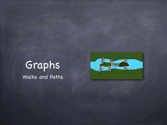#### Graphs Walks and Paths

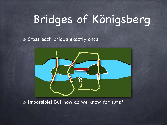# Bridges of Königsberg

Cross each bridge exactly once



Impossible! But how do we know for sure?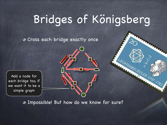# Bridges of Königsberg

EULER 1707

Cross each bridge exactly once

Add a node for each bridge too, if we want it to be a simple graph

Impossible! But how do we know for sure?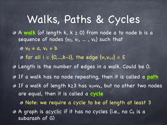#### Walks, Paths & Cycles

A **walk** (of length k, k ≥ 0) from node a to node b is a sequence of nodes  $(v_0, v_1, ..., v_k)$  such that

 $\bullet$  v<sub>0</sub> = a, v<sub>k</sub> = b

**o** for all  $i \in \{0,...,k-1\}$ , the edge  $\{v_i,v_{i+1}\}\in E$ 

- Length is the number of edges in a walk. Could be 0.
- If a walk has no node repeating, then it is called a **path**
- If a walk of length k≥3 has v<sub>0</sub>=v<sub>k</sub>, but no other two nodes are equal, then it is called a **cycle**

Note: we require a cycle to be of length at least 3 A graph is acyclic if it has no cycles (i.e., no Ck is a subgraph of G)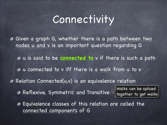### Connectivity

 $\bullet$  Given a graph G, whether there is a path between two nodes u and v is an important question regarding G u is said to be **connected to** v if there is such a path

u connected to v iff there is a walk from u to v

Relation Connected(u,v) is an equivalence relation

Reflexive, Symmetric and Transitive

Walks can be spliced together to get walks

Equivalence classes of this relation are called the connected components of G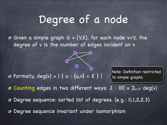### Degree of a node

Given a simple graph G = (V,E), for each node v $\in$ V, the degree of v is the number of edges incident on v

**O** Formally,  $deg(v) = | \{ u : \{u,v\} \in E \} |$ 

Note: Definition restricted to simple graphs

 $\circ$  Counting edges in two different ways: 2  $\cdot$  |E| =  $\Sigma_{V\in V}$  deg(v)

Degree sequence: sorted list of degrees. (e.g.: 0,1,2,2,3) จ

Degree sequence invariant under isomorphism ぁ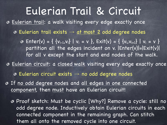### Eulerian Trail & Circuit

Eulerian trail: a walk visiting every edge exactly once

 $\odot$  Eulerian trail exists  $\rightarrow$  at most 2 odd degree nodes

 $\circ$  Enter(v) = { {v<sub>i-1</sub>,v<sub>i</sub>} | v<sub>i</sub> = v }, Exit(v) = { {v<sub>i</sub>,v<sub>i+1</sub>} | v<sub>i</sub> = v } partition all the edges incident on v. |Enter(v)|=|Exit(v)| for all v except the start and end nodes of the walk.

Eulerian circuit: a closed walk visiting every edge exactly once

 $\odot$  Eulerian circuit exists  $\rightarrow$  no odd degree nodes

If no odd degree nodes and all edges in one connected component, then must have an Eulerian circuit!

Proof sketch: Must be cyclic [Why?] Remove a cycle: still no odd degree node. Inductively obtain Eulerian circuits in each connected component in the remaining graph. Can stitch them all onto the removed cycle into one circuit.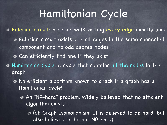### Hamiltonian Cycle

Eulerian circuit: a closed walk visiting every edge exactly once  $\circ$ 

- $\bullet$  Eulerian circuit exists  $\longleftrightarrow$  all edges in the same connected component and no odd degree nodes
- Can efficiently find one if they exist
- Hamiltonian Cycle: a cycle that contains all the nodes in the graph
	- No efficient algorithm known to check if a graph has a ◉ Hamiltonian cycle!
		- An "NP-hard" problem. Widely believed that no efficient algorithm exists!
			- (cf. Graph Isomorphism: It is believed to be hard, but also believed to be not NP-hard)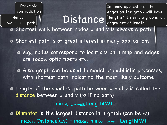Prove via contradiction

Hence,

∃ walk → ∃ path

Distance liengths". In simple graphs, all In many applications, the edges on the graph will have edges are of length 1.

Shortest walk between nodes u and v is always a path

Shortest path is of great interest in many applications

e.g., nodes correspond to locations on a map and edges are roads, optic fibers etc.

Also, graph can be used to model probabilistic processes, with shortest path indicating the most likely outcome

Length of the shortest path between u and v is called the distance between u and  $v$  ( $\infty$  if no path)

min W: u-v walk Length(W)

Diameter is the largest distance in a graph (can be  $\infty$ ) ◈  $max_{u,v}$  Distance(u,v) =  $max_{u,v}$  min<sub>W: u-v walk</sub> Length(W)